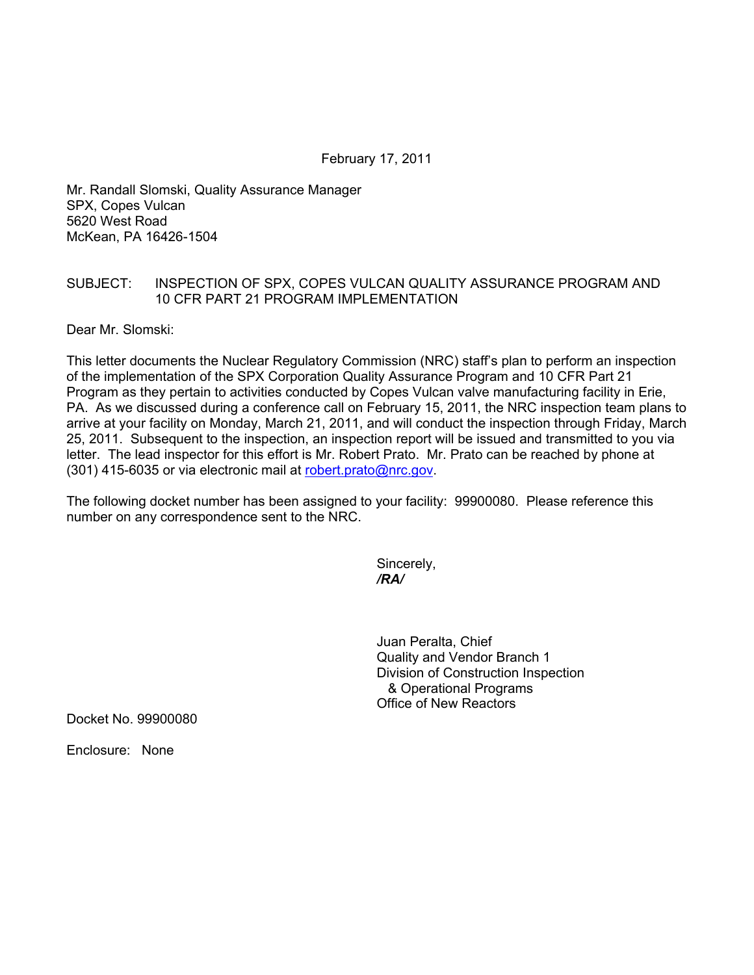February 17, 2011

Mr. Randall Slomski, Quality Assurance Manager SPX, Copes Vulcan 5620 West Road McKean, PA 16426-1504

## SUBJECT: INSPECTION OF SPX, COPES VULCAN QUALITY ASSURANCE PROGRAM AND 10 CFR PART 21 PROGRAM IMPLEMENTATION

Dear Mr. Slomski:

This letter documents the Nuclear Regulatory Commission (NRC) staff's plan to perform an inspection of the implementation of the SPX Corporation Quality Assurance Program and 10 CFR Part 21 Program as they pertain to activities conducted by Copes Vulcan valve manufacturing facility in Erie, PA. As we discussed during a conference call on February 15, 2011, the NRC inspection team plans to arrive at your facility on Monday, March 21, 2011, and will conduct the inspection through Friday, March 25, 2011. Subsequent to the inspection, an inspection report will be issued and transmitted to you via letter. The lead inspector for this effort is Mr. Robert Prato. Mr. Prato can be reached by phone at (301) 415-6035 or via electronic mail at robert.prato@nrc.gov.

The following docket number has been assigned to your facility: 99900080. Please reference this number on any correspondence sent to the NRC.

> Sincerely, */RA/*

Juan Peralta, Chief Quality and Vendor Branch 1 Division of Construction Inspection & Operational Programs Office of New Reactors

Docket No. 99900080

Enclosure: None